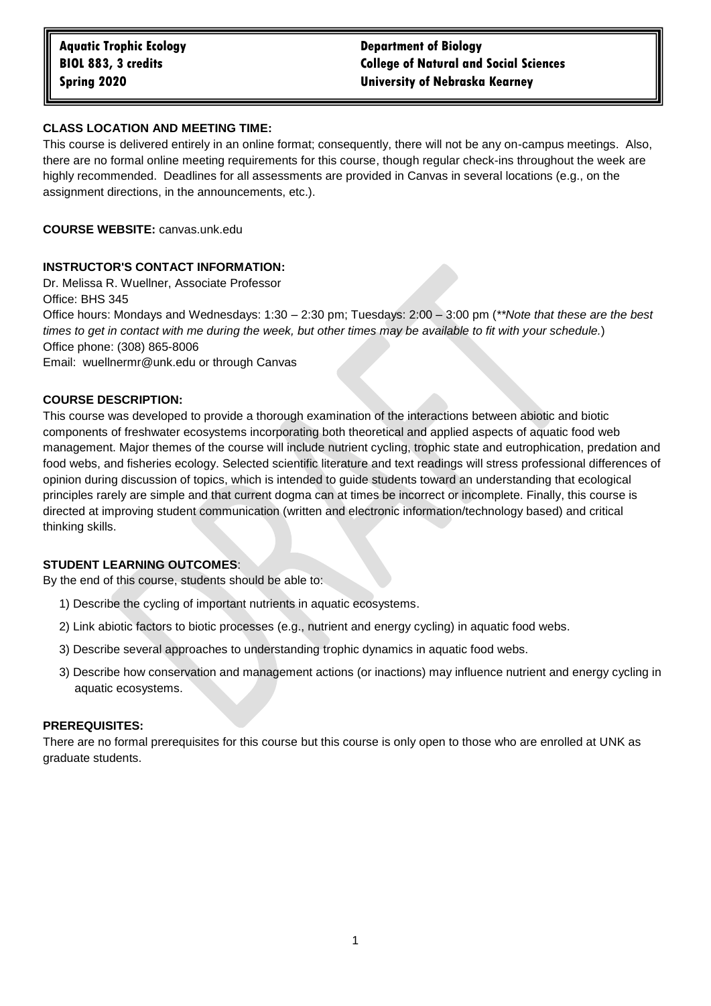# **BIOL 883, 3 credits College of Natural and Social Sciences Spring 2020 University of Nebraska Kearney**

# **CLASS LOCATION AND MEETING TIME:**

This course is delivered entirely in an online format; consequently, there will not be any on-campus meetings. Also, there are no formal online meeting requirements for this course, though regular check-ins throughout the week are highly recommended. Deadlines for all assessments are provided in Canvas in several locations (e.g., on the assignment directions, in the announcements, etc.).

**COURSE WEBSITE:** canvas.unk.edu

# **INSTRUCTOR'S CONTACT INFORMATION:**

Dr. Melissa R. Wuellner, Associate Professor Office: BHS 345 Office hours: Mondays and Wednesdays: 1:30 – 2:30 pm; Tuesdays: 2:00 – 3:00 pm (*\*\*Note that these are the best times to get in contact with me during the week, but other times may be available to fit with your schedule.*) Office phone: (308) 865-8006 Email: wuellnermr@unk.edu or through Canvas

# **COURSE DESCRIPTION:**

This course was developed to provide a thorough examination of the interactions between abiotic and biotic components of freshwater ecosystems incorporating both theoretical and applied aspects of aquatic food web management. Major themes of the course will include nutrient cycling, trophic state and eutrophication, predation and food webs, and fisheries ecology. Selected scientific literature and text readings will stress professional differences of opinion during discussion of topics, which is intended to guide students toward an understanding that ecological principles rarely are simple and that current dogma can at times be incorrect or incomplete. Finally, this course is directed at improving student communication (written and electronic information/technology based) and critical thinking skills.

# **STUDENT LEARNING OUTCOMES**:

By the end of this course, students should be able to:

- 1) Describe the cycling of important nutrients in aquatic ecosystems.
- 2) Link abiotic factors to biotic processes (e.g., nutrient and energy cycling) in aquatic food webs.
- 3) Describe several approaches to understanding trophic dynamics in aquatic food webs.
- 3) Describe how conservation and management actions (or inactions) may influence nutrient and energy cycling in aquatic ecosystems.

# **PREREQUISITES:**

There are no formal prerequisites for this course but this course is only open to those who are enrolled at UNK as graduate students.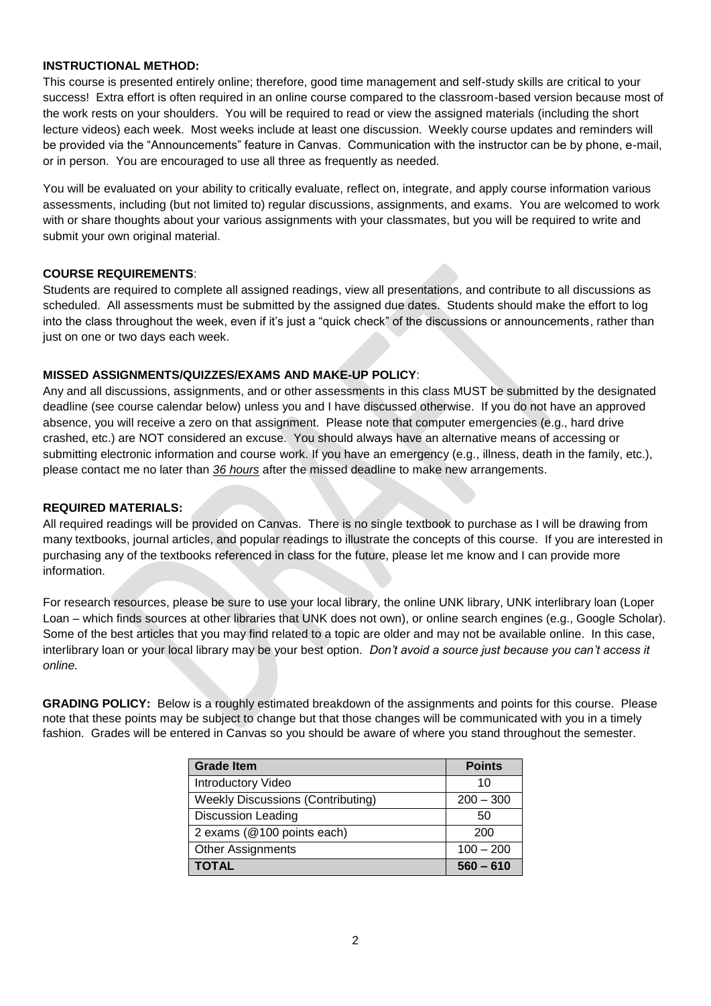# **INSTRUCTIONAL METHOD:**

This course is presented entirely online; therefore, good time management and self-study skills are critical to your success! Extra effort is often required in an online course compared to the classroom-based version because most of the work rests on your shoulders. You will be required to read or view the assigned materials (including the short lecture videos) each week. Most weeks include at least one discussion. Weekly course updates and reminders will be provided via the "Announcements" feature in Canvas. Communication with the instructor can be by phone, e-mail, or in person. You are encouraged to use all three as frequently as needed.

You will be evaluated on your ability to critically evaluate, reflect on, integrate, and apply course information various assessments, including (but not limited to) regular discussions, assignments, and exams. You are welcomed to work with or share thoughts about your various assignments with your classmates, but you will be required to write and submit your own original material.

# **COURSE REQUIREMENTS**:

Students are required to complete all assigned readings, view all presentations, and contribute to all discussions as scheduled. All assessments must be submitted by the assigned due dates. Students should make the effort to log into the class throughout the week, even if it's just a "quick check" of the discussions or announcements, rather than just on one or two days each week.

#### **MISSED ASSIGNMENTS/QUIZZES/EXAMS AND MAKE-UP POLICY**:

Any and all discussions, assignments, and or other assessments in this class MUST be submitted by the designated deadline (see course calendar below) unless you and I have discussed otherwise. If you do not have an approved absence, you will receive a zero on that assignment. Please note that computer emergencies (e.g., hard drive crashed, etc.) are NOT considered an excuse. You should always have an alternative means of accessing or submitting electronic information and course work. If you have an emergency (e.g., illness, death in the family, etc.), please contact me no later than *36 hours* after the missed deadline to make new arrangements.

#### **REQUIRED MATERIALS:**

All required readings will be provided on Canvas. There is no single textbook to purchase as I will be drawing from many textbooks, journal articles, and popular readings to illustrate the concepts of this course. If you are interested in purchasing any of the textbooks referenced in class for the future, please let me know and I can provide more information.

For research resources, please be sure to use your local library, the online UNK library, UNK interlibrary loan (Loper Loan – which finds sources at other libraries that UNK does not own), or online search engines (e.g., Google Scholar). Some of the best articles that you may find related to a topic are older and may not be available online. In this case, interlibrary loan or your local library may be your best option. *Don't avoid a source just because you can't access it online.*

**GRADING POLICY:** Below is a roughly estimated breakdown of the assignments and points for this course. Please note that these points may be subject to change but that those changes will be communicated with you in a timely fashion. Grades will be entered in Canvas so you should be aware of where you stand throughout the semester.

| <b>Grade Item</b>                        | <b>Points</b> |
|------------------------------------------|---------------|
| <b>Introductory Video</b>                | 10            |
| <b>Weekly Discussions (Contributing)</b> | $200 - 300$   |
| <b>Discussion Leading</b>                | 50            |
| 2 exams (@100 points each)               | 200           |
| <b>Other Assignments</b>                 | $100 - 200$   |
| <b>TOTAL</b>                             | $560 - 610$   |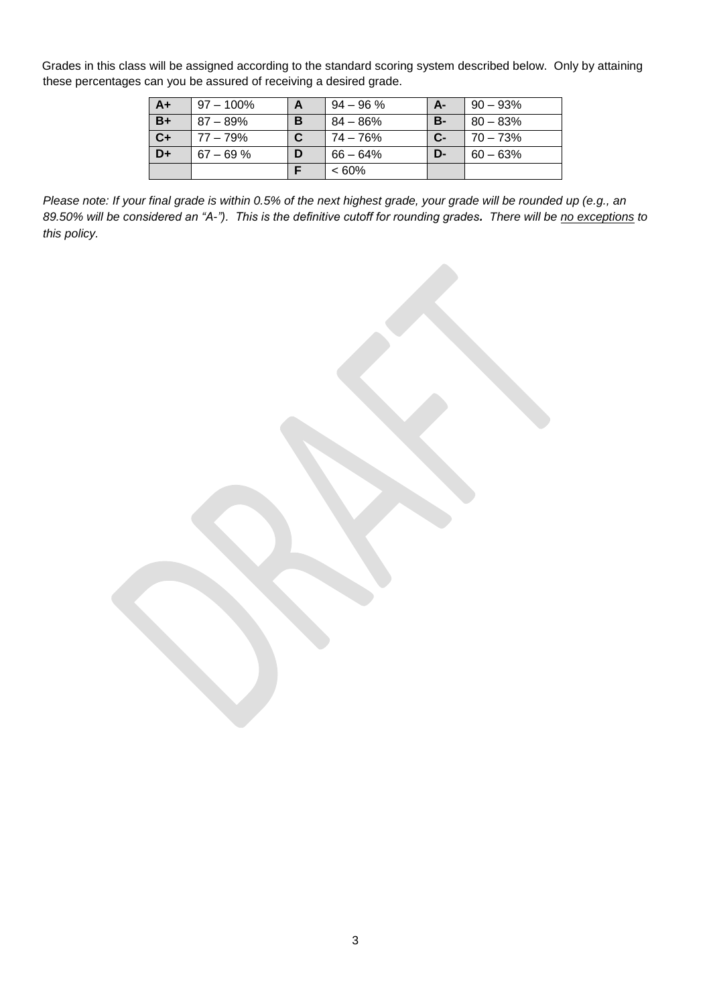Grades in this class will be assigned according to the standard scoring system described below. Only by attaining these percentages can you be assured of receiving a desired grade.

| $A+$ | $97 - 100\%$ |   | $94 - 96 \%$ | $A-$      | $90 - 93\%$ |
|------|--------------|---|--------------|-----------|-------------|
| $B+$ | $87 - 89\%$  | в | 84 – 86%     | <b>B-</b> | $80 - 83%$  |
| $C+$ | $77 - 79%$   |   | 74 – 76%     | $C-$      | $170 - 73%$ |
| D+   | $67 - 69%$   | D | 66 – 64%     | D-        | $60 - 63%$  |
|      |              |   | $<60\%$      |           |             |

*Please note: If your final grade is within 0.5% of the next highest grade, your grade will be rounded up (e.g., an 89.50% will be considered an "A-"). This is the definitive cutoff for rounding grades. There will be no exceptions to this policy.*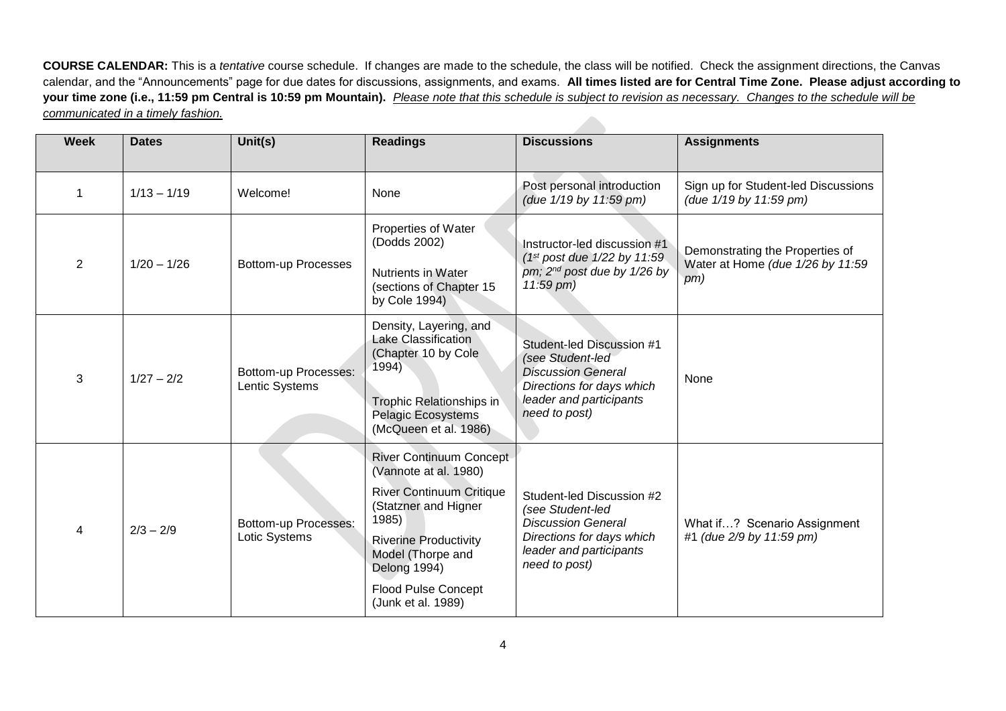**COURSE CALENDAR:** This is a *tentative* course schedule. If changes are made to the schedule, the class will be notified. Check the assignment directions, the Canvas calendar, and the "Announcements" page for due dates for discussions, assignments, and exams. **All times listed are for Central Time Zone. Please adjust according to your time zone (i.e., 11:59 pm Central is 10:59 pm Mountain).** *Please note that this schedule is subject to revision as necessary. Changes to the schedule will be communicated in a timely fashion.* 

| <b>Week</b>                     | <b>Dates</b>               | Unit(s)                                                        | <b>Readings</b>                                                                                                                                                                                                                                      | <b>Discussions</b>                                                                                                                                  | <b>Assignments</b>                                            |
|---------------------------------|----------------------------|----------------------------------------------------------------|------------------------------------------------------------------------------------------------------------------------------------------------------------------------------------------------------------------------------------------------------|-----------------------------------------------------------------------------------------------------------------------------------------------------|---------------------------------------------------------------|
| 1                               | $1/13 - 1/19$              | Welcome!                                                       | None                                                                                                                                                                                                                                                 | Post personal introduction<br>(due 1/19 by 11:59 pm)                                                                                                | Sign up for Student-led Discussions<br>(due 1/19 by 11:59 pm) |
| $\overline{2}$<br>$1/20 - 1/26$ |                            |                                                                | Properties of Water<br>(Dodds 2002)                                                                                                                                                                                                                  | Instructor-led discussion #1                                                                                                                        | Demonstrating the Properties of                               |
|                                 | <b>Bottom-up Processes</b> | Nutrients in Water<br>(sections of Chapter 15<br>by Cole 1994) | $(1st post due 1/22 by 11:59)$<br>pm; 2 <sup>nd</sup> post due by 1/26 by<br>$11:59$ pm)                                                                                                                                                             | Water at Home (due 1/26 by 11:59<br>pm)                                                                                                             |                                                               |
| 3                               | $1/27 - 2/2$               | Bottom-up Processes:<br>Lentic Systems                         | Density, Layering, and<br>Lake Classification<br>(Chapter 10 by Cole<br>1994)<br>Trophic Relationships in<br><b>Pelagic Ecosystems</b><br>(McQueen et al. 1986)                                                                                      | Student-led Discussion #1<br>(see Student-led<br><b>Discussion General</b><br>Directions for days which<br>leader and participants<br>need to post) | None                                                          |
| 4                               | $2/3 - 2/9$                | Bottom-up Processes:<br>Lotic Systems                          | <b>River Continuum Concept</b><br>(Vannote at al. 1980)<br><b>River Continuum Critique</b><br>(Statzner and Higner<br>1985)<br><b>Riverine Productivity</b><br>Model (Thorpe and<br>Delong 1994)<br><b>Flood Pulse Concept</b><br>(Junk et al. 1989) | Student-led Discussion #2<br>(see Student-led<br><b>Discussion General</b><br>Directions for days which<br>leader and participants<br>need to post) | What if? Scenario Assignment<br>#1 (due 2/9 by 11:59 pm)      |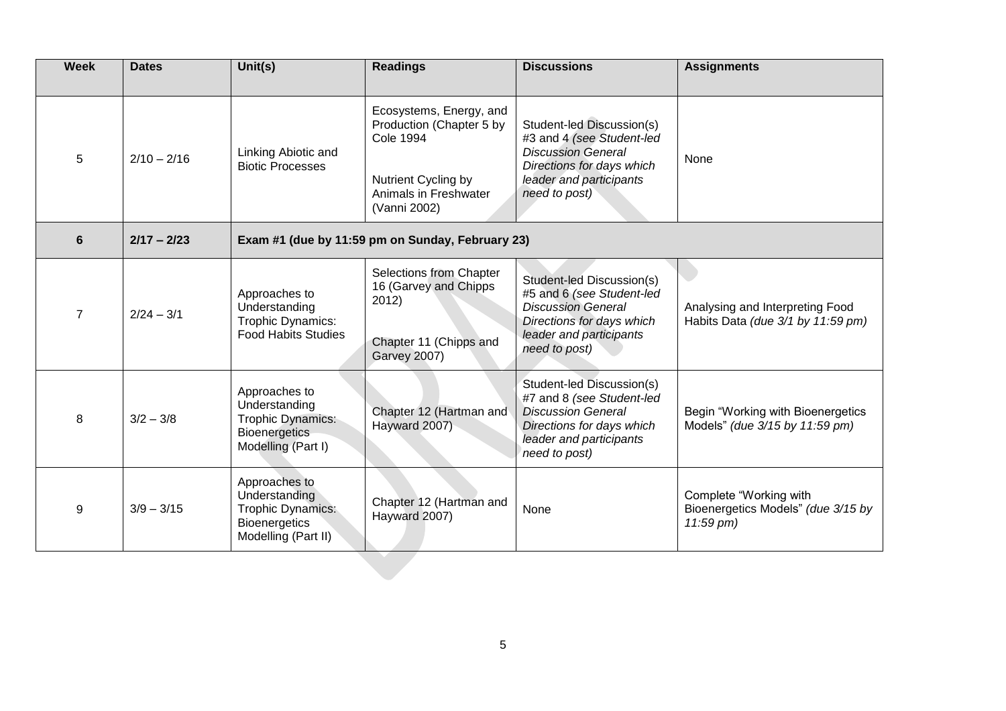| <b>Week</b>    | <b>Dates</b>  | Unit(s)                                                                                                   | <b>Readings</b>                                                                                                                         | <b>Discussions</b>                                                                                                                                           | <b>Assignments</b>                                                        |  |  |
|----------------|---------------|-----------------------------------------------------------------------------------------------------------|-----------------------------------------------------------------------------------------------------------------------------------------|--------------------------------------------------------------------------------------------------------------------------------------------------------------|---------------------------------------------------------------------------|--|--|
| 5              | $2/10 - 2/16$ | Linking Abiotic and<br><b>Biotic Processes</b>                                                            | Ecosystems, Energy, and<br>Production (Chapter 5 by<br><b>Cole 1994</b><br>Nutrient Cycling by<br>Animals in Freshwater<br>(Vanni 2002) | Student-led Discussion(s)<br>#3 and 4 (see Student-led<br><b>Discussion General</b><br>Directions for days which<br>leader and participants<br>need to post) | None                                                                      |  |  |
| 6              | $2/17 - 2/23$ | Exam #1 (due by 11:59 pm on Sunday, February 23)                                                          |                                                                                                                                         |                                                                                                                                                              |                                                                           |  |  |
| $\overline{7}$ | $2/24 - 3/1$  | Approaches to<br>Understanding<br>Trophic Dynamics:<br><b>Food Habits Studies</b>                         | Selections from Chapter<br>16 (Garvey and Chipps<br>2012)<br>Chapter 11 (Chipps and<br><b>Garvey 2007)</b>                              | Student-led Discussion(s)<br>#5 and 6 (see Student-led<br><b>Discussion General</b><br>Directions for days which<br>leader and participants<br>need to post) | Analysing and Interpreting Food<br>Habits Data (due 3/1 by 11:59 pm)      |  |  |
| 8              | $3/2 - 3/8$   | Approaches to<br>Understanding<br>Trophic Dynamics:<br><b>Bioenergetics</b><br>Modelling (Part I)         | Chapter 12 (Hartman and<br>Hayward 2007)                                                                                                | Student-led Discussion(s)<br>#7 and 8 (see Student-led<br><b>Discussion General</b><br>Directions for days which<br>leader and participants<br>need to post) | Begin "Working with Bioenergetics<br>Models" (due 3/15 by 11:59 pm)       |  |  |
| 9              | $3/9 - 3/15$  | Approaches to<br>Understanding<br><b>Trophic Dynamics:</b><br><b>Bioenergetics</b><br>Modelling (Part II) | Chapter 12 (Hartman and<br>Hayward 2007)                                                                                                | None                                                                                                                                                         | Complete "Working with<br>Bioenergetics Models" (due 3/15 by<br>11:59 pm) |  |  |
|                |               |                                                                                                           |                                                                                                                                         |                                                                                                                                                              |                                                                           |  |  |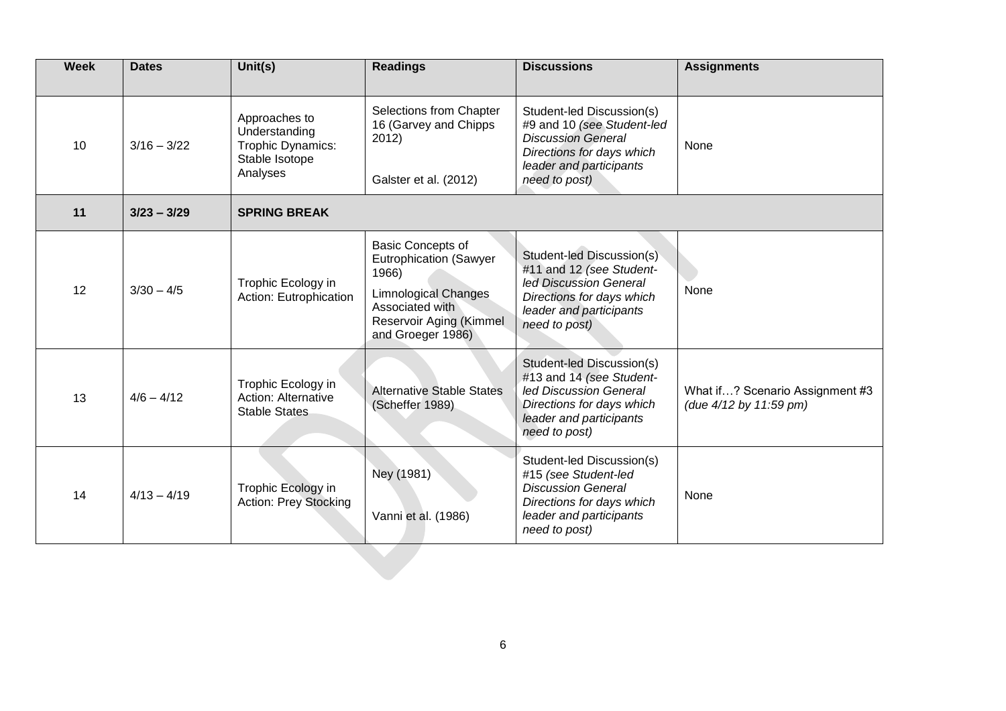| <b>Week</b> | <b>Dates</b>  | $\overline{\text{Unit}}(s)$                                                       | <b>Readings</b>                                                                                                                                                      | <b>Discussions</b>                                                                                                                                            | <b>Assignments</b>                                        |  |  |  |
|-------------|---------------|-----------------------------------------------------------------------------------|----------------------------------------------------------------------------------------------------------------------------------------------------------------------|---------------------------------------------------------------------------------------------------------------------------------------------------------------|-----------------------------------------------------------|--|--|--|
| 10          | $3/16 - 3/22$ | Approaches to<br>Understanding<br>Trophic Dynamics:<br>Stable Isotope<br>Analyses | Selections from Chapter<br>16 (Garvey and Chipps<br>2012)<br>Galster et al. (2012)                                                                                   | Student-led Discussion(s)<br>#9 and 10 (see Student-led<br><b>Discussion General</b><br>Directions for days which<br>leader and participants<br>need to post) | None                                                      |  |  |  |
| 11          | $3/23 - 3/29$ | <b>SPRING BREAK</b>                                                               |                                                                                                                                                                      |                                                                                                                                                               |                                                           |  |  |  |
| 12          | $3/30 - 4/5$  | Trophic Ecology in<br>Action: Eutrophication                                      | <b>Basic Concepts of</b><br><b>Eutrophication (Sawyer</b><br>1966)<br><b>Limnological Changes</b><br>Associated with<br>Reservoir Aging (Kimmel<br>and Groeger 1986) | Student-led Discussion(s)<br>#11 and 12 (see Student-<br>led Discussion General<br>Directions for days which<br>leader and participants<br>need to post)      | None                                                      |  |  |  |
| 13          | $4/6 - 4/12$  | Trophic Ecology in<br>Action: Alternative<br><b>Stable States</b>                 | <b>Alternative Stable States</b><br>(Scheffer 1989)                                                                                                                  | Student-led Discussion(s)<br>#13 and 14 (see Student-<br>led Discussion General<br>Directions for days which<br>leader and participants<br>need to post)      | What if? Scenario Assignment #3<br>(due 4/12 by 11:59 pm) |  |  |  |
| 14          | $4/13 - 4/19$ | Trophic Ecology in<br>Action: Prey Stocking                                       | Ney (1981)<br>Vanni et al. (1986)                                                                                                                                    | Student-led Discussion(s)<br>#15 (see Student-led<br><b>Discussion General</b><br>Directions for days which<br>leader and participants<br>need to post)       | None                                                      |  |  |  |
|             |               |                                                                                   |                                                                                                                                                                      |                                                                                                                                                               |                                                           |  |  |  |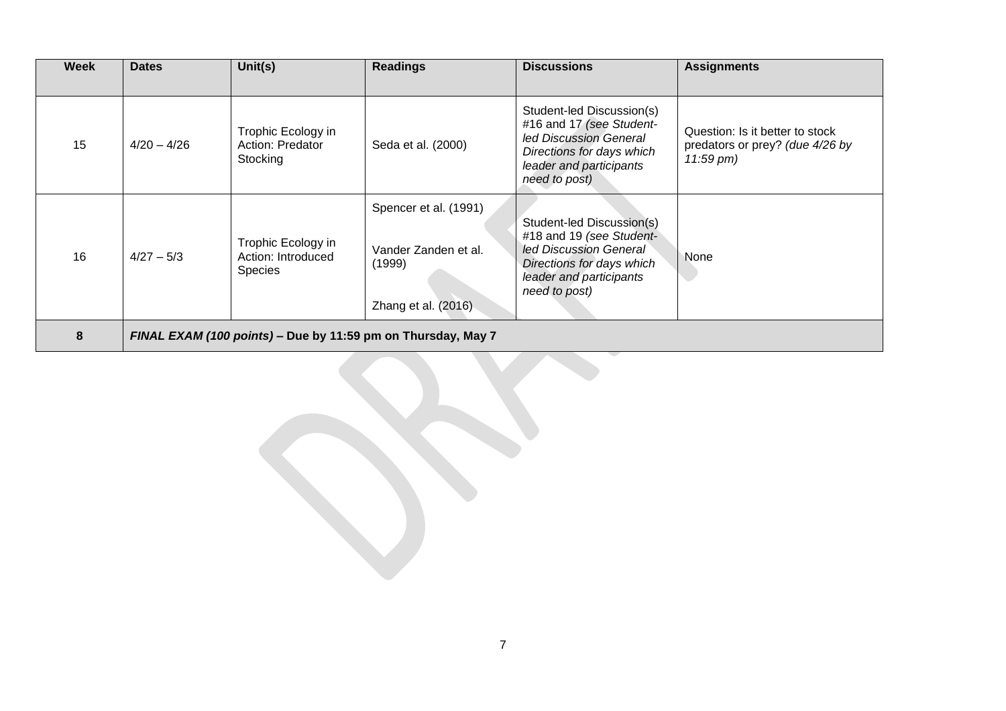| Week | <b>Dates</b>                                                 | Unit(s)                                                    | <b>Readings</b>                                                                | <b>Discussions</b>                                                                                                                                       | <b>Assignments</b>                                                                |  |
|------|--------------------------------------------------------------|------------------------------------------------------------|--------------------------------------------------------------------------------|----------------------------------------------------------------------------------------------------------------------------------------------------------|-----------------------------------------------------------------------------------|--|
| 15   | $4/20 - 4/26$                                                | Trophic Ecology in<br>Action: Predator<br>Stocking         | Seda et al. (2000)                                                             | Student-led Discussion(s)<br>#16 and 17 (see Student-<br>led Discussion General<br>Directions for days which<br>leader and participants<br>need to post) | Question: Is it better to stock<br>predators or prey? (due 4/26 by<br>$11:59$ pm) |  |
| 16   | $4/27 - 5/3$                                                 | Trophic Ecology in<br>Action: Introduced<br><b>Species</b> | Spencer et al. (1991)<br>Vander Zanden et al.<br>(1999)<br>Zhang et al. (2016) | Student-led Discussion(s)<br>#18 and 19 (see Student-<br>led Discussion General<br>Directions for days which<br>leader and participants<br>need to post) | None                                                                              |  |
| 8    | FINAL EXAM (100 points) – Due by 11:59 pm on Thursday, May 7 |                                                            |                                                                                |                                                                                                                                                          |                                                                                   |  |